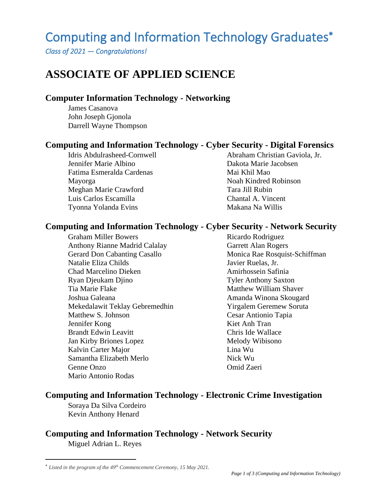# Computing and Information Technology Graduates

*Class of 2021 — Congratulations!*

## **ASSOCIATE OF APPLIED SCIENCE**

#### **Computer Information Technology - Networking**

James Casanova John Joseph Gjonola Darrell Wayne Thompson

#### **Computing and Information Technology - Cyber Security - Digital Forensics**

Idris Abdulrasheed-Cornwell Jennifer Marie Albino Fatima Esmeralda Cardenas Mayorga Meghan Marie Crawford Luis Carlos Escamilla Tyonna Yolanda Evins

Abraham Christian Gaviola, Jr. Dakota Marie Jacobsen Mai Khil Mao Noah Kindred Robinson Tara Jill Rubin Chantal A. Vincent Makana Na Willis

#### **Computing and Information Technology - Cyber Security - Network Security**

Graham Miller Bowers Anthony Rianne Madrid Calalay Gerard Don Cabanting Casallo Natalie Eliza Childs Chad Marcelino Dieken Ryan Djeukam Djino Tia Marie Flake Joshua Galeana Mekedalawit Teklay Gebremedhin Matthew S. Johnson Jennifer Kong Brandt Edwin Leavitt Jan Kirby Briones Lopez Kalvin Carter Major Samantha Elizabeth Merlo Genne Onzo Mario Antonio Rodas

Ricardo Rodriguez Garrett Alan Rogers Monica Rae Rosquist-Schiffman Javier Ruelas, Jr. Amirhossein Safinia Tyler Anthony Saxton Matthew William Shaver Amanda Winona Skougard Yirgalem Geremew Soruta Cesar Antionio Tapia Kiet Anh Tran Chris Ide Wallace Melody Wibisono Lina Wu Nick Wu Omid Zaeri

#### **Computing and Information Technology - Electronic Crime Investigation**

Soraya Da Silva Cordeiro Kevin Anthony Henard

### **Computing and Information Technology - Network Security**

Miguel Adrian L. Reyes

*Listed in the program of the 49th Commencement Ceremony, 15 May 2021.*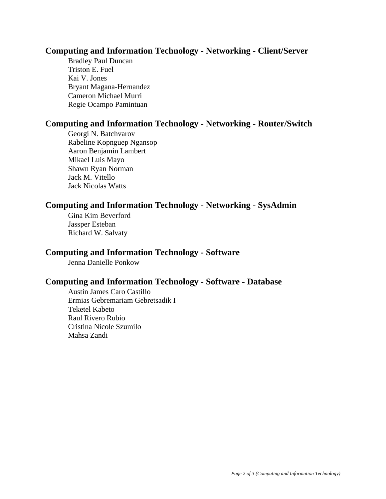#### **Computing and Information Technology - Networking - Client/Server**

Bradley Paul Duncan Triston E. Fuel Kai V. Jones Bryant Magana-Hernandez Cameron Michael Murri Regie Ocampo Pamintuan

#### **Computing and Information Technology - Networking - Router/Switch**

Georgi N. Batchvarov Rabeline Kopnguep Ngansop Aaron Benjamin Lambert Mikael Luis Mayo Shawn Ryan Norman Jack M. Vitello Jack Nicolas Watts

#### **Computing and Information Technology - Networking - SysAdmin**

Gina Kim Beverford Jassper Esteban Richard W. Salvaty

#### **Computing and Information Technology - Software**

Jenna Danielle Ponkow

#### **Computing and Information Technology - Software - Database**

Austin James Caro Castillo Ermias Gebremariam Gebretsadik I Teketel Kabeto Raul Rivero Rubio Cristina Nicole Szumilo Mahsa Zandi